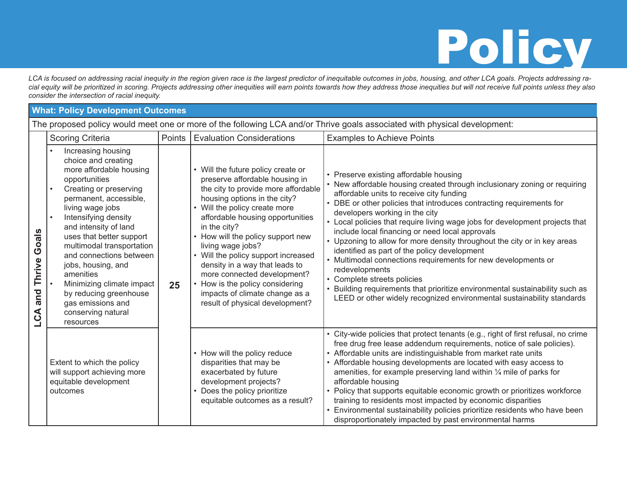## Policy

*LCA is focused on addressing racial inequity in the region given race is the largest predictor of inequitable outcomes in jobs, housing, and other LCA goals. Projects addressing racial equity will be prioritized in scoring. Projects addressing other inequities will earn points towards how they address those inequities but will not receive full points unless they also consider the intersection of racial inequity.*

## **What: Policy Development Outcomes**

The proposed policy would meet one or more of the following LCA and/or Thrive goals associated with physical development:

|                               | <b>Scoring Criteria</b>                                                                                                                                                                                                                                                                                                                                                                                                                                           | Points | <b>Evaluation Considerations</b>                                                                                                                                                                                                                                                                                                                                                                                                                                                                       | <b>Examples to Achieve Points</b>                                                                                                                                                                                                                                                                                                                                                                                                                                                                                                                                                                                                                                                                                                                                                                                    |
|-------------------------------|-------------------------------------------------------------------------------------------------------------------------------------------------------------------------------------------------------------------------------------------------------------------------------------------------------------------------------------------------------------------------------------------------------------------------------------------------------------------|--------|--------------------------------------------------------------------------------------------------------------------------------------------------------------------------------------------------------------------------------------------------------------------------------------------------------------------------------------------------------------------------------------------------------------------------------------------------------------------------------------------------------|----------------------------------------------------------------------------------------------------------------------------------------------------------------------------------------------------------------------------------------------------------------------------------------------------------------------------------------------------------------------------------------------------------------------------------------------------------------------------------------------------------------------------------------------------------------------------------------------------------------------------------------------------------------------------------------------------------------------------------------------------------------------------------------------------------------------|
| Goals<br>Thrive<br>and<br>LCA | Increasing housing<br>choice and creating<br>more affordable housing<br>opportunities<br>Creating or preserving<br>permanent, accessible,<br>living wage jobs<br>Intensifying density<br>$\bullet$<br>and intensity of land<br>uses that better support<br>multimodal transportation<br>and connections between<br>jobs, housing, and<br>amenities<br>Minimizing climate impact<br>by reducing greenhouse<br>gas emissions and<br>conserving natural<br>resources | 25     | Will the future policy create or<br>preserve affordable housing in<br>the city to provide more affordable<br>housing options in the city?<br>• Will the policy create more<br>affordable housing opportunities<br>in the city?<br>• How will the policy support new<br>living wage jobs?<br>• Will the policy support increased<br>density in a way that leads to<br>more connected development?<br>How is the policy considering<br>impacts of climate change as a<br>result of physical development? | • Preserve existing affordable housing<br>• New affordable housing created through inclusionary zoning or requiring<br>affordable units to receive city funding<br>• DBE or other policies that introduces contracting requirements for<br>developers working in the city<br>• Local policies that require living wage jobs for development projects that<br>include local financing or need local approvals<br>• Upzoning to allow for more density throughout the city or in key areas<br>identified as part of the policy development<br>• Multimodal connections requirements for new developments or<br>redevelopments<br>• Complete streets policies<br>• Building requirements that prioritize environmental sustainability such as<br>LEED or other widely recognized environmental sustainability standards |
|                               | Extent to which the policy<br>will support achieving more<br>equitable development<br>outcomes                                                                                                                                                                                                                                                                                                                                                                    |        | How will the policy reduce<br>disparities that may be<br>exacerbated by future<br>development projects?<br>Does the policy prioritize<br>equitable outcomes as a result?                                                                                                                                                                                                                                                                                                                               | • City-wide policies that protect tenants (e.g., right of first refusal, no crime<br>free drug free lease addendum requirements, notice of sale policies).<br>• Affordable units are indistinguishable from market rate units<br>• Affordable housing developments are located with easy access to<br>amenities, for example preserving land within $\frac{1}{4}$ mile of parks for<br>affordable housing<br>• Policy that supports equitable economic growth or prioritizes workforce<br>training to residents most impacted by economic disparities<br>• Environmental sustainability policies prioritize residents who have been<br>disproportionately impacted by past environmental harms                                                                                                                       |